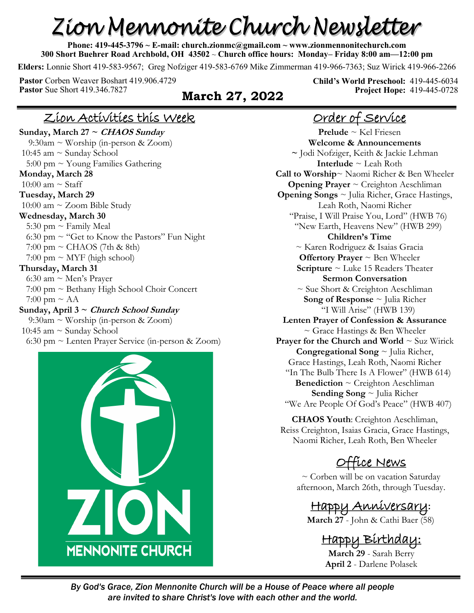# Zion Mennonite Church Newsletter

**Phone: 419-445-3796 ~ E-mail: church.zionmc@gmail.com ~ www.zionmennonitechurch.com 300 Short Buehrer Road Archbold, OH 43502** ~ **Church office hours: Monday– Friday 8:00 am—12:00 pm** 

**Elders:** Lonnie Short 419-583-9567; Greg Nofziger 419-583-6769 Mike Zimmerman 419-966-7363; Suz Wirick 419-966-2266

**Pastor** Corben Weaver Boshart 419.906.4729 **Pastor** Sue Short 419.346.7827 **March 27, 2022** 

**Child's World Preschool:** 419-445-6034 **Project Hope:** 419-445-0728

#### Zion Activities this Week

**Sunday, March 27 ~ CHAOS Sunday** 9:30am ~ Worship (in-person & Zoom) 10:45 am  $\sim$  Sunday School 5:00 pm  $\sim$  Young Families Gathering **Monday, March 28** 10:00 am  $\sim$  Staff **Tuesday, March 29** 10:00 am ~ Zoom Bible Study **Wednesday, March 30** 5:30 pm  $\sim$  Family Meal 6:30 pm  $\sim$  "Get to Know the Pastors" Fun Night  $7:00 \text{ pm} \sim \text{CHAOS}$  (7th & 8th)  $7:00 \text{ pm} \sim \text{MYF}$  (high school) **Thursday, March 31** 6:30 am  $\sim$  Men's Prayer 7:00 pm ~ Bethany High School Choir Concert 7:00 pm  $\sim$  AA **Sunday, April 3 ~ Church School Sunday** 9:30am ~ Worship (in-person & Zoom) 10:45 am  $\sim$  Sunday School 6:30 pm ~ Lenten Prayer Service (in-person & Zoom)



## Order of Service

**Prelude** ~ Kel Friesen **Welcome & Announcements ~** Jodi Nofziger, Keith & Jackie Lehman **Interlude** ~ Leah Roth **Call to Worship**~ Naomi Richer & Ben Wheeler **Opening Prayer** ~ Creighton Aeschliman **Opening Songs** ~ Julia Richer, Grace Hastings, Leah Roth, Naomi Richer "Praise, I Will Praise You, Lord" (HWB 76) "New Earth, Heavens New" (HWB 299) **Children's Time** ~ Karen Rodriguez & Isaias Gracia **Offertory Prayer** ~ Ben Wheeler **Scripture** ~ Luke 15 Readers Theater **Sermon Conversation**  ~ Sue Short & Creighton Aeschliman **Song of Response** ~ Julia Richer "I Will Arise" (HWB 139) **Lenten Prayer of Confession & Assurance**  $\sim$  Grace Hastings & Ben Wheeler **Prayer for the Church and World ~ Suz Wirick Congregational Song** ~ Julia Richer, Grace Hastings, Leah Roth, Naomi Richer "In The Bulb There Is A Flower" (HWB 614) **Benediction** ~ Creighton Aeschliman **Sending Song** ~ Julia Richer "We Are People Of God's Peace" (HWB 407)

**CHAOS Youth**: Creighton Aeschliman, Reiss Creighton, Isaias Gracia, Grace Hastings, Naomi Richer, Leah Roth, Ben Wheeler

# Office News

 $\sim$  Corben will be on vacation Saturday afternoon, March 26th, through Tuesday.

Happy Anniversary**: March 27** - John & Cathi Baer (58)

# Happy Birthday:

**March 29** - Sarah Berry **April 2** - Darlene Polasek

*By God's Grace, Zion Mennonite Church will be a House of Peace where all people are invited to share Christ's love with each other and the world.*